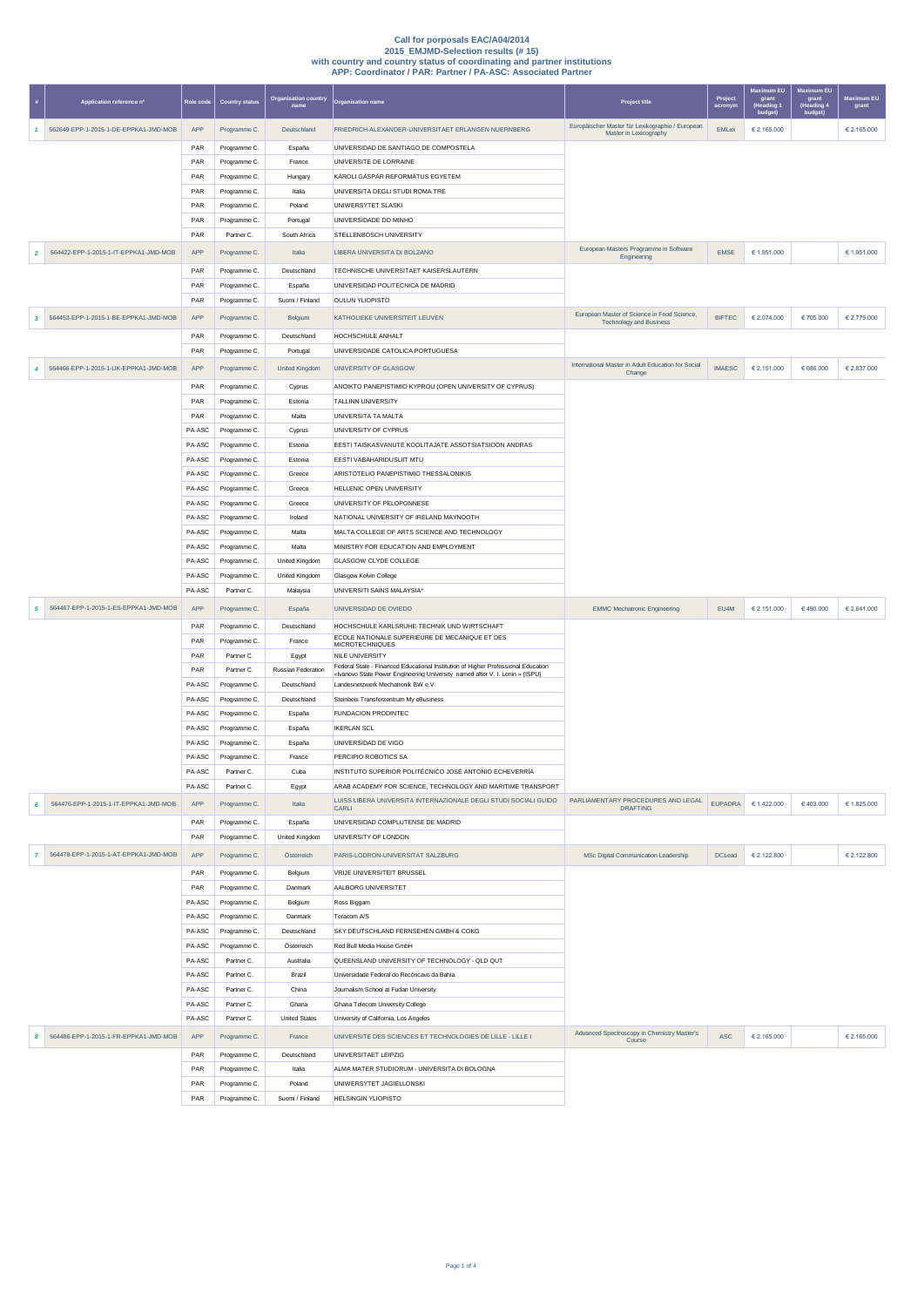|                | Application reference n°              | Role cod         | <b>Country status</b>        | Organisation country<br>name     | <b>Organisation name</b>                                                                                                                                          | Project title                                                                 | Project<br>acronym | <b>Maximum EU</b><br>grant<br>(Heading '<br>budget | <b>Maximum EU</b><br>grant<br>(Heading 4<br>budget) | <b>Maximum EU</b><br>grant |
|----------------|---------------------------------------|------------------|------------------------------|----------------------------------|-------------------------------------------------------------------------------------------------------------------------------------------------------------------|-------------------------------------------------------------------------------|--------------------|----------------------------------------------------|-----------------------------------------------------|----------------------------|
| 1              | 562649-EPP-1-2015-1-DE-EPPKA1-JMD-MOB | APP              | Programme C.                 | Deutschland                      | FRIEDRICH-ALEXANDER-UNIVERSITAET ERLANGEN NUERNBERG                                                                                                               | Europäischer Master für Lexikographie / European<br>Master in Lexicography    | <b>EMLex</b>       | € 2.165.000                                        |                                                     | € 2.165.000                |
|                |                                       | PAR              | Programme C.                 | España                           | UNIVERSIDAD DE SANTIAGO DE COMPOSTELA                                                                                                                             |                                                                               |                    |                                                    |                                                     |                            |
|                |                                       | PAR              | Programme C.                 | France                           | UNIVERSITE DE LORRAINE                                                                                                                                            |                                                                               |                    |                                                    |                                                     |                            |
|                |                                       | PAR              | Programme C.                 | Hungary                          | KÁROLI GÁSPÁR REFORMÁTUS EGYETEM                                                                                                                                  |                                                                               |                    |                                                    |                                                     |                            |
|                |                                       | PAR<br>PAR       | Programme C.<br>Programme C. | Italia<br>Poland                 | UNIVERSITA DEGLI STUDI ROMA TRE<br>UNIWERSYTET SLASKI                                                                                                             |                                                                               |                    |                                                    |                                                     |                            |
|                |                                       | PAR              | Programme C.                 | Portugal                         | UNIVERSIDADE DO MINHO                                                                                                                                             |                                                                               |                    |                                                    |                                                     |                            |
|                |                                       | PAR              | Partner C.                   | South Africa                     | STELLENBOSCH UNIVERSITY                                                                                                                                           |                                                                               |                    |                                                    |                                                     |                            |
| $\overline{2}$ | 564422-EPP-1-2015-1-IT-EPPKA1-JMD-MOB | APP              | Programme C.                 | Italia                           | LIBERA UNIVERSITA DI BOLZANO                                                                                                                                      | European Masters Programme in Software<br>Engineering                         | <b>FMSF</b>        | € 1.951.000                                        |                                                     | € 1.951.000                |
|                |                                       | PAR              | Programme C.                 | Deutschland                      | TECHNISCHE UNIVERSITAET KAISERSLAUTERN                                                                                                                            |                                                                               |                    |                                                    |                                                     |                            |
|                |                                       | PAR              | Programme C.                 | España                           | UNIVERSIDAD POLITECNICA DE MADRID                                                                                                                                 |                                                                               |                    |                                                    |                                                     |                            |
|                |                                       | PAR              | Programme C.                 | Suomi / Finland                  | OULUN YLIOPISTO                                                                                                                                                   |                                                                               |                    |                                                    |                                                     |                            |
| 3              | 564453-EPP-1-2015-1-BE-EPPKA1-JMD-MOB | APP              | Programme C.                 | Belgium                          | KATHOLIEKE UNIVERSITEIT LEUVEN                                                                                                                                    | European Master of Science in Food Science,<br><b>Technology and Business</b> | <b>BIFTEC</b>      | € 2.074.000                                        | €705.000                                            | € 2.779.000                |
|                |                                       | PAR              | Programme C.                 | Deutschland                      | HOCHSCHULE ANHALT                                                                                                                                                 |                                                                               |                    |                                                    |                                                     |                            |
|                |                                       | PAR              | Programme C.                 | Portugal                         | UNIVERSIDADE CATOLICA PORTUGUESA                                                                                                                                  |                                                                               |                    |                                                    |                                                     |                            |
| 4              | 564466-EPP-1-2015-1-UK-EPPKA1-JMD-MOB | APP              | Programme C.                 | <b>United Kingdom</b>            | UNIVERSITY OF GLASGOW                                                                                                                                             | International Master in Adult Education for Social<br>Change                  | <b>IMAESC</b>      | € 2.151.000                                        | 666.000                                             | € 2.837.000                |
|                |                                       | PAR              | Programme C.                 | Cyprus                           | ANOIKTO PANEPISTIMIO KYPROU (OPEN UNIVERSITY OF CYPRUS)                                                                                                           |                                                                               |                    |                                                    |                                                     |                            |
|                |                                       | PAR              | Programme C.                 | Estonia                          | TAI I INN UNIVERSITY                                                                                                                                              |                                                                               |                    |                                                    |                                                     |                            |
|                |                                       | PAR<br>PA-ASC    | Programme C.<br>Programme C. | Malta<br>Cyprus                  | UNIVERSITA TA MALTA<br>UNIVERSITY OF CYPRUS                                                                                                                       |                                                                               |                    |                                                    |                                                     |                            |
|                |                                       | PA-ASC           | Programme C.                 | Estonia                          | EESTI TAISKASVANUTE KOOLITAJATE ASSOTSIATSIOON ANDRAS                                                                                                             |                                                                               |                    |                                                    |                                                     |                            |
|                |                                       | PA-ASC           | Programme C.                 | Estonia                          | EESTI VABAHARIDUSLIIT MTU                                                                                                                                         |                                                                               |                    |                                                    |                                                     |                            |
|                |                                       | PA-ASC           | Programme C.                 | Greece                           | ARISTOTELIO PANEPISTIMIO THESSALONIKIS                                                                                                                            |                                                                               |                    |                                                    |                                                     |                            |
|                |                                       | PA-ASC           | Programme C.                 | Greece                           | HELLENIC OPEN UNIVERSITY                                                                                                                                          |                                                                               |                    |                                                    |                                                     |                            |
|                |                                       | PA-ASC           | Programme C.                 | Greece                           | UNIVERSITY OF PELOPONNESE                                                                                                                                         |                                                                               |                    |                                                    |                                                     |                            |
|                |                                       | PA-ASC           | Programme C.                 | Ireland                          | NATIONAL UNIVERSITY OF IRELAND MAYNOOTH                                                                                                                           |                                                                               |                    |                                                    |                                                     |                            |
|                |                                       | PA-ASC           | Programme C.                 | Malta                            | MALTA COLLEGE OF ARTS SCIENCE AND TECHNOLOGY                                                                                                                      |                                                                               |                    |                                                    |                                                     |                            |
|                |                                       | PA-ASC           | Programme C.                 | Malta                            | MINISTRY FOR EDUCATION AND EMPLOYMENT                                                                                                                             |                                                                               |                    |                                                    |                                                     |                            |
|                |                                       | PA-ASC<br>PA-ASC | Programme C.<br>Programme C. | United Kingdom<br>United Kingdom | GLASGOW CLYDE COLLEGE<br>Glasgow Kelvin College                                                                                                                   |                                                                               |                    |                                                    |                                                     |                            |
|                |                                       | PA-ASC           | Partner C.                   | Malaysia                         | UNIVERSITI SAINS MALAYSIA*                                                                                                                                        |                                                                               |                    |                                                    |                                                     |                            |
| 5              | 564467-EPP-1-2015-1-ES-EPPKA1-JMD-MOB | APP              | Programme C.                 | España                           | UNIVERSIDAD DE OVIEDO                                                                                                                                             | <b>EMMC Mechatronic Engineering</b>                                           | EU4M               | € 2.151.000                                        | €490.000                                            | € 2.641.000                |
|                |                                       | PAR              | Programme C.                 | Deutschland                      | HOCHSCHULE KARLSRUHE-TECHNIK UND WIRTSCHAFT                                                                                                                       |                                                                               |                    |                                                    |                                                     |                            |
|                |                                       | PAR              | Programme C.                 | France                           | ECOLE NATIONALE SUPERIEURE DE MECANIQUE ET DES<br><b>MICROTECHNIQUES</b>                                                                                          |                                                                               |                    |                                                    |                                                     |                            |
|                |                                       | PAR              | Partner C.                   | Egypt                            | <b>NILE UNIVERSITY</b>                                                                                                                                            |                                                                               |                    |                                                    |                                                     |                            |
|                |                                       | PAR              | Partner C.                   | Russian Federation               | Federal State - Financed Educational Institution of Higher Professional Education<br>«Ivanovo State Power Engineering University named after V. I. Lenin » (ISPU) |                                                                               |                    |                                                    |                                                     |                            |
|                |                                       | PA-ASC           | Programme C.                 | Deutschland                      | Landesnetzwerk Mechatronik BW e.V.                                                                                                                                |                                                                               |                    |                                                    |                                                     |                            |
|                |                                       | PA-ASC<br>PA-ASC | Programme C.<br>Programme C. | Deutschland<br>España            | Steinbeis Transferzentrum My eBusiness<br><b>FUNDACION PRODINTEC</b>                                                                                              |                                                                               |                    |                                                    |                                                     |                            |
|                |                                       | PA-ASC           | Programme C.                 | España                           | <b>IKERLAN SCL</b>                                                                                                                                                |                                                                               |                    |                                                    |                                                     |                            |
|                |                                       | PA-ASC           | Programme C.                 | España                           | UNIVERSIDAD DE VIGO                                                                                                                                               |                                                                               |                    |                                                    |                                                     |                            |
|                |                                       | PA-ASC           | Programme C.                 | France                           | PERCIPIO ROBOTICS SA                                                                                                                                              |                                                                               |                    |                                                    |                                                     |                            |
|                |                                       | PA-ASC           | Partner C.                   | Cuba                             | INSTITUTO SUPERIOR POLITÉCNICO JOSÉ ANTONIO ECHEVERRÍA                                                                                                            |                                                                               |                    |                                                    |                                                     |                            |
|                |                                       | PA-ASC           | Partner C.                   | Egypt                            | ARAB ACADEMY FOR SCIENCE, TECHNOLOGY AND MARITIME TRANSPORT                                                                                                       |                                                                               |                    |                                                    |                                                     |                            |
| 6              | 564476-EPP-1-2015-1-IT-EPPKA1-JMD-MOB | APP              | Programme C.                 | Italia                           | LUISS LIBERA UNIVERSITA INTERNAZIONALE DEGLI STUDI SOCIALI GUIDO<br>CARLI                                                                                         | PARLIAMENTARY PROCEDURES AND LEGAL<br><b>DRAFTING</b>                         | <b>FUPADRA</b>     | € 1.422.000                                        | 6403.000                                            | € 1.825,000                |
|                |                                       | PAR              | Programme C.                 | España                           | UNIVERSIDAD COMPLUTENSE DE MADRID                                                                                                                                 |                                                                               |                    |                                                    |                                                     |                            |
|                |                                       | PAR              | Programme C.                 | United Kingdom                   | UNIVERSITY OF LONDON                                                                                                                                              |                                                                               |                    |                                                    |                                                     |                            |
| $\overline{7}$ | 564478-EPP-1-2015-1-AT-EPPKA1-JMD-MOB | APP              | Programme C.                 | Österreich                       | PARIS-LODRON-UNIVERSITAT SALZBURG                                                                                                                                 | MSc Digital Communication Leadership                                          | <b>DCLead</b>      | € 2.122.800                                        |                                                     | € 2.122.800                |
|                |                                       | PAR              | Programme C.                 | Belgium                          | VRIJE UNIVERSITEIT BRUSSEL                                                                                                                                        |                                                                               |                    |                                                    |                                                     |                            |
|                |                                       | PAR              | Programme C.                 | Danmark                          | AALBORG UNIVERSITET                                                                                                                                               |                                                                               |                    |                                                    |                                                     |                            |
|                |                                       | PA-ASC           | Programme C.                 | Belgium                          | Ross Biggam                                                                                                                                                       |                                                                               |                    |                                                    |                                                     |                            |
|                |                                       | PA-ASC<br>PA-ASC | Programme C.<br>Programme C. | Danmark<br>Deutschland           | Teracom A/S<br>SKY DEUTSCHLAND FERNSEHEN GMBH & COKG                                                                                                              |                                                                               |                    |                                                    |                                                     |                            |
|                |                                       | PA-ASC           | Programme C.                 | Österreich                       | Red Bull Media House GmbH                                                                                                                                         |                                                                               |                    |                                                    |                                                     |                            |
|                |                                       | PA-ASC           | Partner C.                   | Australia                        | QUEENSLAND UNIVERSITY OF TECHNOLOGY - QLD QUT                                                                                                                     |                                                                               |                    |                                                    |                                                     |                            |
|                |                                       | PA-ASC           | Partner C.                   | Brazil                           | Universidade Federal do Recôncavo da Bahia                                                                                                                        |                                                                               |                    |                                                    |                                                     |                            |
|                |                                       | PA-ASC           | Partner C.                   | China                            | Journalism School at Fudan University                                                                                                                             |                                                                               |                    |                                                    |                                                     |                            |
|                |                                       | PA-ASC           | Partner C.                   | Ghana                            | Ghana Telecom University College                                                                                                                                  |                                                                               |                    |                                                    |                                                     |                            |
|                |                                       | PA-ASC           | Partner C.                   | <b>United States</b>             | University of California, Los Angeles                                                                                                                             |                                                                               |                    |                                                    |                                                     |                            |
| 8              | 564486-EPP-1-2015-1-FR-EPPKA1-JMD-MOB | APP              | Programme C.                 | France                           | UNIVERSITE DES SCIENCES ET TECHNOLOGIES DE LILLE - LILLE I                                                                                                        | Advanced Spectroscopy in Chemistry Master's<br>Course                         | <b>ASC</b>         | € 2.165.000                                        |                                                     | € 2.165.000                |
|                |                                       | PAR              | Programme C.                 | Deutschland                      | UNIVERSITAET LEIPZIG                                                                                                                                              |                                                                               |                    |                                                    |                                                     |                            |
|                |                                       | PAR              | Programme C.                 | Italia                           | ALMA MATER STUDIORUM - UNIVERSITA DI BOLOGNA                                                                                                                      |                                                                               |                    |                                                    |                                                     |                            |
|                |                                       | PAR              | Programme C.                 | Poland                           | UNIWERSYTET JAGIELLONSKI                                                                                                                                          |                                                                               |                    |                                                    |                                                     |                            |
|                |                                       | PAR              | Programme C.                 | Suomi / Finland                  | <b>HELSINGIN YLIOPISTO</b>                                                                                                                                        |                                                                               |                    |                                                    |                                                     |                            |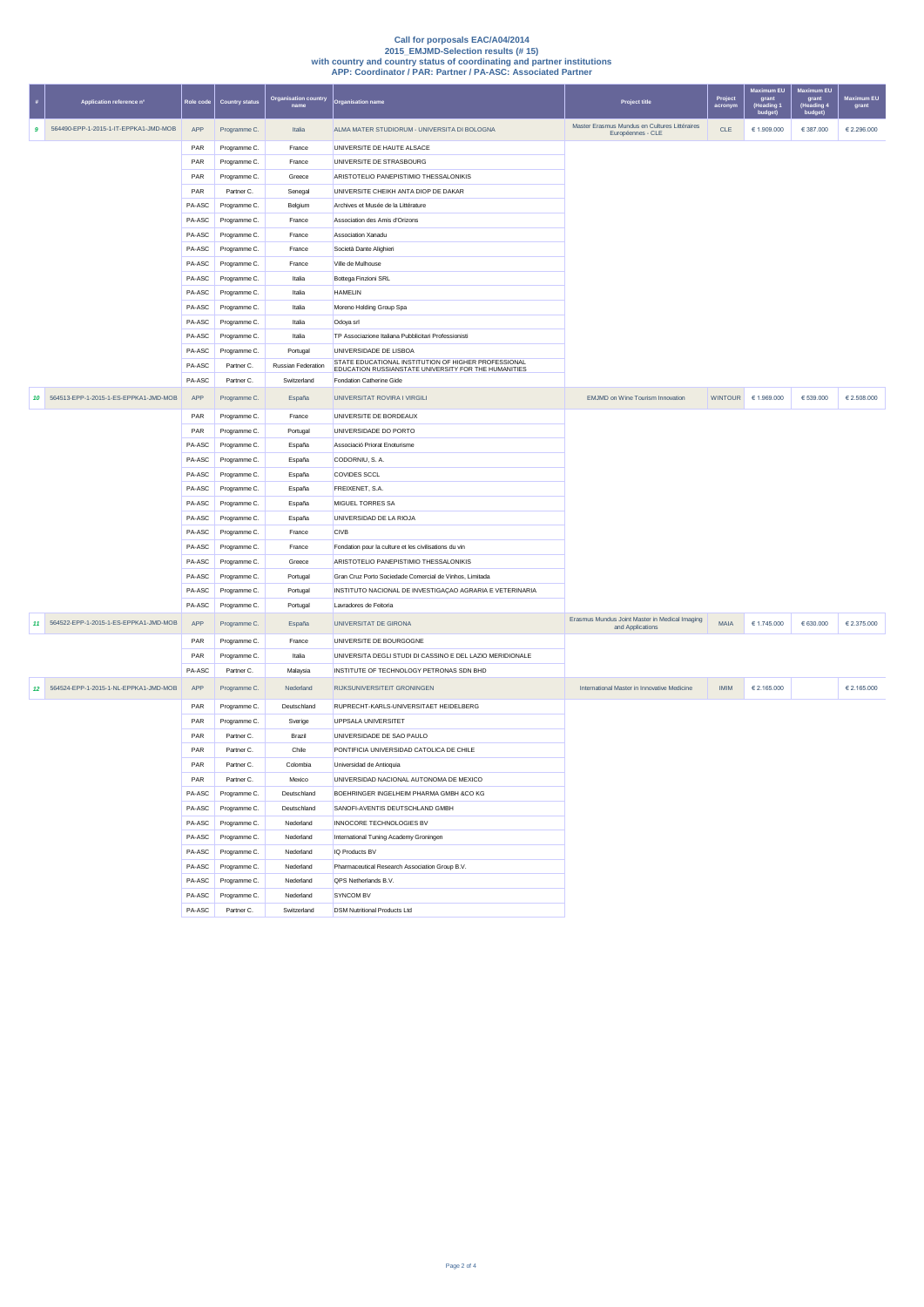| $\#$             | Application reference n°              | Role code | <b>Country status</b> | <b>Organisation country</b><br>name | <b>Organisation name</b>                                                                                     | Project title                                                      | Project<br>acronym | Maximum EU<br>grant<br>(Heading '<br>budget) | <b>Maximum EU</b><br>grant<br>(Heading 4<br>budget) | <b>Maximum EU</b><br>grant |
|------------------|---------------------------------------|-----------|-----------------------|-------------------------------------|--------------------------------------------------------------------------------------------------------------|--------------------------------------------------------------------|--------------------|----------------------------------------------|-----------------------------------------------------|----------------------------|
| $\boldsymbol{9}$ | 564490-EPP-1-2015-1-IT-EPPKA1-JMD-MOB | APP       | Programme C.          | Italia                              | ALMA MATER STUDIORUM - UNIVERSITA DI BOLOGNA                                                                 | Master Erasmus Mundus en Cultures Littéraires<br>Européennes - CLE | CLE                | € 1.909.000                                  | € 387.000                                           | € 2.296.000                |
|                  |                                       | PAR       | Programme C.          | France                              | UNIVERSITE DE HAUTE ALSACE                                                                                   |                                                                    |                    |                                              |                                                     |                            |
|                  |                                       | PAR       | Programme C.          | France                              | UNIVERSITE DE STRASBOURG                                                                                     |                                                                    |                    |                                              |                                                     |                            |
|                  |                                       | PAR       | Programme C.          | Greece                              | ARISTOTELIO PANEPISTIMIO THESSALONIKIS                                                                       |                                                                    |                    |                                              |                                                     |                            |
|                  |                                       | PAR       | Partner C.            | Senegal                             | UNIVERSITE CHEIKH ANTA DIOP DE DAKAR                                                                         |                                                                    |                    |                                              |                                                     |                            |
|                  |                                       | PA-ASC    | Programme C.          | Belgium                             | Archives et Musée de la Littérature                                                                          |                                                                    |                    |                                              |                                                     |                            |
|                  |                                       | PA-ASC    | Programme C.          | France                              | Association des Amis d'Orizons                                                                               |                                                                    |                    |                                              |                                                     |                            |
|                  |                                       | PA-ASC    | Programme C.          | France                              | Association Xanadu                                                                                           |                                                                    |                    |                                              |                                                     |                            |
|                  |                                       | PA-ASC    | Programme C.          | France                              | Società Dante Alighieri                                                                                      |                                                                    |                    |                                              |                                                     |                            |
|                  |                                       | PA-ASC    | Programme C.          | France                              | Ville de Mulhouse                                                                                            |                                                                    |                    |                                              |                                                     |                            |
|                  |                                       | PA-ASC    | Programme C.          | Italia                              | Bottega Finzioni SRL                                                                                         |                                                                    |                    |                                              |                                                     |                            |
|                  |                                       | PA-ASC    | Programme C.          | Italia                              | <b>HAMELIN</b>                                                                                               |                                                                    |                    |                                              |                                                     |                            |
|                  |                                       | PA-ASC    | Programme C.          | Italia                              | Moreno Holding Group Spa                                                                                     |                                                                    |                    |                                              |                                                     |                            |
|                  |                                       | PA-ASC    | Programme C.          | Italia                              | Odoya srl                                                                                                    |                                                                    |                    |                                              |                                                     |                            |
|                  |                                       | PA-ASC    | Programme C.          | Italia                              | TP Associazione Italiana Pubblicitari Professionisti                                                         |                                                                    |                    |                                              |                                                     |                            |
|                  |                                       | PA-ASC    | Programme C.          | Portugal                            | UNIVERSIDADE DE LISBOA                                                                                       |                                                                    |                    |                                              |                                                     |                            |
|                  |                                       | PA-ASC    | Partner C.            | <b>Russian Federation</b>           | STATE EDUCATIONAL INSTITUTION OF HIGHER PROFESSIONAL<br>EDUCATION RUSSIANSTATE UNIVERSITY FOR THE HUMANITIES |                                                                    |                    |                                              |                                                     |                            |
|                  |                                       | PA-ASC    | Partner C.            | Switzerland                         | Fondation Catherine Gide                                                                                     |                                                                    |                    |                                              |                                                     |                            |
| 10               | 564513-EPP-1-2015-1-ES-EPPKA1-JMD-MOB | APP       | Programme C.          | España                              | UNIVERSITAT ROVIRA I VIRGILI                                                                                 | <b>EMJMD on Wine Tourism Innovation</b>                            | <b>WINTOUR</b>     | € 1.969.000                                  | 6539.000                                            | € 2.508.000                |
|                  |                                       | PAR       | Programme C.          | France                              | UNIVERSITE DE BORDEAUX                                                                                       |                                                                    |                    |                                              |                                                     |                            |
|                  |                                       | PAR       | Programme C.          | Portugal                            | UNIVERSIDADE DO PORTO                                                                                        |                                                                    |                    |                                              |                                                     |                            |
|                  |                                       | PA-ASC    | Programme C.          | España                              | Associació Priorat Enoturisme                                                                                |                                                                    |                    |                                              |                                                     |                            |
|                  |                                       | PA-ASC    | Programme C.          | España                              | CODORNIU, S. A.                                                                                              |                                                                    |                    |                                              |                                                     |                            |
|                  |                                       | PA-ASC    | Programme C.          | España                              | <b>COVIDES SCCL</b>                                                                                          |                                                                    |                    |                                              |                                                     |                            |
|                  |                                       | PA-ASC    | Programme C.          | España                              | FREIXENET, S.A.                                                                                              |                                                                    |                    |                                              |                                                     |                            |
|                  |                                       | PA-ASC    | Programme C.          | España                              | <b>MIGUEL TORRES SA</b>                                                                                      |                                                                    |                    |                                              |                                                     |                            |
|                  |                                       | PA-ASC    | Programme C.          | España                              | UNIVERSIDAD DE LA RIOJA                                                                                      |                                                                    |                    |                                              |                                                     |                            |
|                  |                                       | PA-ASC    | Programme C.          | France                              | <b>CIVB</b>                                                                                                  |                                                                    |                    |                                              |                                                     |                            |
|                  |                                       | PA-ASC    | Programme C.          | France                              | Fondation pour la culture et les civilisations du vin                                                        |                                                                    |                    |                                              |                                                     |                            |
|                  |                                       | PA-ASC    | Programme C.          | Greece                              | ARISTOTELIO PANEPISTIMIO THESSALONIKIS                                                                       |                                                                    |                    |                                              |                                                     |                            |
|                  |                                       | PA-ASC    | Programme C.          | Portugal                            | Gran Cruz Porto Sociedade Comercial de Vinhos, Limitada                                                      |                                                                    |                    |                                              |                                                     |                            |
|                  |                                       | PA-ASC    | Programme C.          | Portugal                            | INSTITUTO NACIONAL DE INVESTIGAÇÃO AGRARIA E VETERINARIA                                                     |                                                                    |                    |                                              |                                                     |                            |
|                  |                                       | PA-ASC    | Programme C.          | Portugal                            | Lavradores de Feitoria                                                                                       |                                                                    |                    |                                              |                                                     |                            |
| 11               | 564522-EPP-1-2015-1-ES-EPPKA1-JMD-MOB | APP       | Programme C.          | España                              | UNIVERSITAT DE GIRONA                                                                                        | Erasmus Mundus Joint Master in Medical Imaging<br>and Applications | MAIA               | 61.745.000                                   | 630.000                                             | € 2.375.000                |
|                  |                                       | PAR       | Programme C.          | France                              | UNIVERSITE DE BOURGOGNE                                                                                      |                                                                    |                    |                                              |                                                     |                            |
|                  |                                       | PAR       | Programme C.          | Italia                              | UNIVERSITA DEGLI STUDI DI CASSINO E DEL LAZIO MERIDIONALE                                                    |                                                                    |                    |                                              |                                                     |                            |
|                  |                                       | PA-ASC    | Partner C.            | Malaysia                            | INSTITUTE OF TECHNOLOGY PETRONAS SDN BHD                                                                     |                                                                    |                    |                                              |                                                     |                            |
| 12 <sup>2</sup>  | 564524-EPP-1-2015-1-NL-EPPKA1-JMD-MOB | APP       | Programme C.          | Nederland                           | RIJKSUNIVERSITEIT GRONINGEN                                                                                  | International Master in Innovative Medicine                        | <b>IMIM</b>        | € 2.165.000                                  |                                                     | € 2.165.000                |
|                  |                                       | PAR       | Programme C.          | Deutschland                         | RUPRECHT-KARLS-UNIVERSITAET HEIDELBERG                                                                       |                                                                    |                    |                                              |                                                     |                            |
|                  |                                       | PAR       | Programme C.          | Sverige                             | UPPSALA UNIVERSITET                                                                                          |                                                                    |                    |                                              |                                                     |                            |
|                  |                                       | PAR       | Partner C.            | Brazil                              | UNIVERSIDADE DE SAO PAULO                                                                                    |                                                                    |                    |                                              |                                                     |                            |
|                  |                                       | PAR       | Partner C.            | Chile                               | PONTIFICIA UNIVERSIDAD CATOLICA DE CHILE                                                                     |                                                                    |                    |                                              |                                                     |                            |
|                  |                                       | PAR       | Partner C.            | Colombia                            | Universidad de Antioquia                                                                                     |                                                                    |                    |                                              |                                                     |                            |
|                  |                                       | PAR       | Partner C.            | Mexico                              | UNIVERSIDAD NACIONAL AUTONOMA DE MEXICO                                                                      |                                                                    |                    |                                              |                                                     |                            |
|                  |                                       | PA-ASC    | Programme C.          | Deutschland                         | BOEHRINGER INGELHEIM PHARMA GMBH &CO KG                                                                      |                                                                    |                    |                                              |                                                     |                            |
|                  |                                       | PA-ASC    | Programme C.          | Deutschland                         | SANOFI-AVENTIS DEUTSCHLAND GMBH                                                                              |                                                                    |                    |                                              |                                                     |                            |
|                  |                                       | PA-ASC    | Programme C.          | Nederland                           | INNOCORE TECHNOLOGIES BV                                                                                     |                                                                    |                    |                                              |                                                     |                            |
|                  |                                       | PA-ASC    | Programme C.          | Nederland                           | International Tuning Academy Groningen                                                                       |                                                                    |                    |                                              |                                                     |                            |
|                  |                                       | PA-ASC    | Programme C.          | Nederland                           | IQ Products BV                                                                                               |                                                                    |                    |                                              |                                                     |                            |
|                  |                                       | PA-ASC    | Programme C.          | Nederland                           | Pharmaceutical Research Association Group B.V.                                                               |                                                                    |                    |                                              |                                                     |                            |
|                  |                                       | PA-ASC    | Programme C.          | Nederland                           | QPS Netherlands B.V.                                                                                         |                                                                    |                    |                                              |                                                     |                            |
|                  |                                       | PA-ASC    | Programme C.          | Nederland                           | SYNCOM BV                                                                                                    |                                                                    |                    |                                              |                                                     |                            |
|                  |                                       | PA-ASC    | Partner C.            | Switzerland                         | <b>DSM Nutritional Products Ltd</b>                                                                          |                                                                    |                    |                                              |                                                     |                            |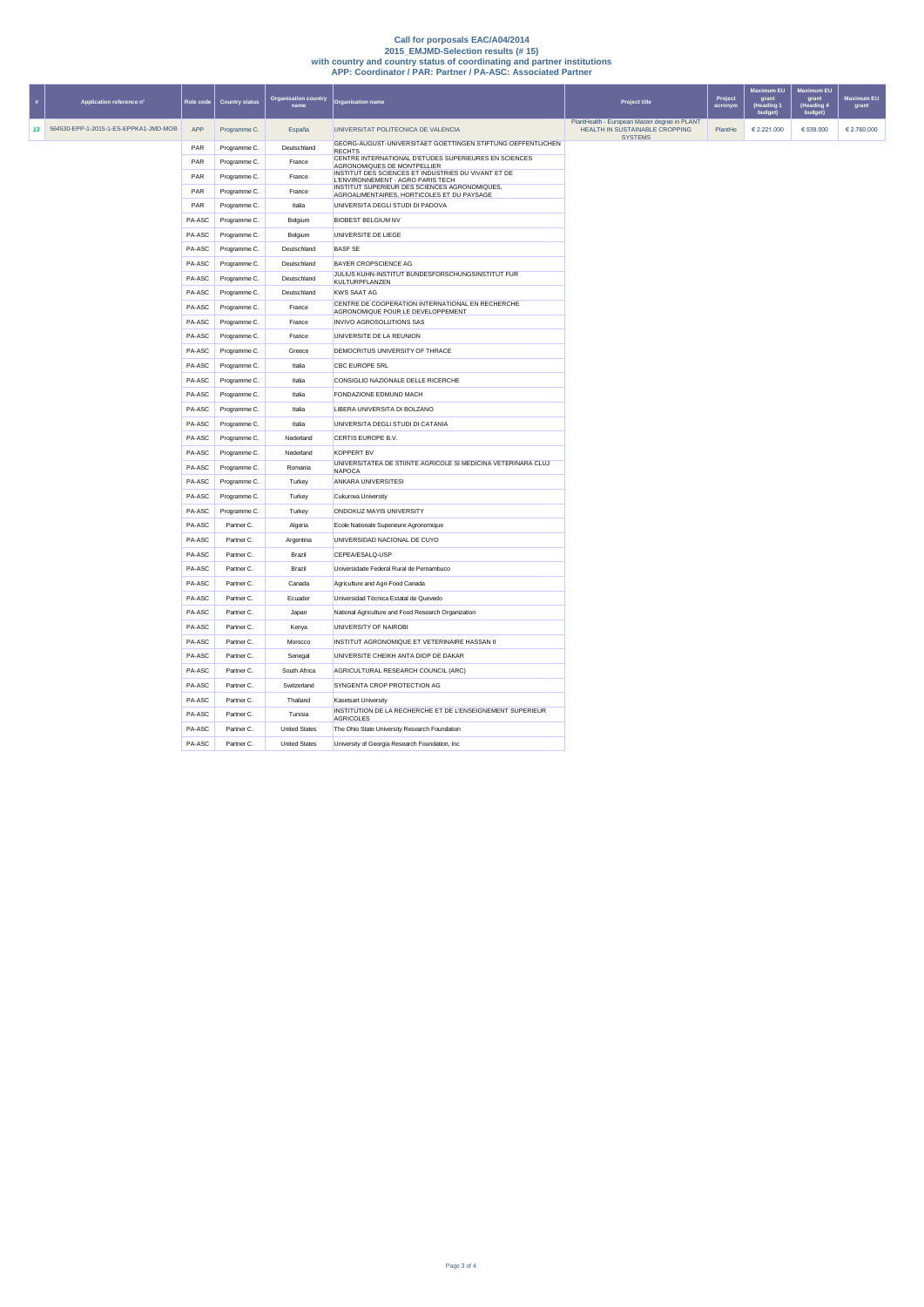| 표 | Application reference n°                 | Role code | <b>Country status</b> | <b>Organisation country</b><br>name | <b>Organisation name</b>                                                                         | <b>Project title</b>                                                                              | Project<br>acronyn | Maximum EU<br>grant<br>(Heading 1<br>budget) | <b>Maximum EU</b><br>grant<br>(Heading 4<br>budget) | <b>Maximum EU</b><br>grant |
|---|------------------------------------------|-----------|-----------------------|-------------------------------------|--------------------------------------------------------------------------------------------------|---------------------------------------------------------------------------------------------------|--------------------|----------------------------------------------|-----------------------------------------------------|----------------------------|
|   | 13 564530-EPP-1-2015-1-ES-EPPKA1-JMD-MOB | APP       | Programme C.          | España                              | UNIVERSITAT POLITECNICA DE VALENCIA                                                              | PlantHealth - European Master degree in PLANT<br>HEALTH IN SUSTAINABLE CROPPING<br><b>SYSTEMS</b> | PlantHe            | € 2.221.000                                  | € 539.000                                           | € 2.760.000                |
|   |                                          | PAR       | Programme C.          | Deutschland                         | GEORG-AUGUST-UNIVERSITAET GOETTINGEN STIFTUNG OEFFENTLICHEN<br><b>RECHTS</b>                     |                                                                                                   |                    |                                              |                                                     |                            |
|   |                                          | PAR       | Programme C.          | France                              | CENTRE INTERNATIONAL D'ETUDES SUPERIEURES EN SCIENCES<br>AGRONOMIQUES DE MONTPELLIER             |                                                                                                   |                    |                                              |                                                     |                            |
|   |                                          | PAR       | Programme C.          | France                              | INSTITUT DES SCIENCES ET INDUSTRIES DU VIVANT ET DE<br><b>I 'FNVIRONNEMENT - AGRO PARIS TECH</b> |                                                                                                   |                    |                                              |                                                     |                            |
|   |                                          | PAR       | Programme C.          | France                              | INSTITUT SUPERIEUR DES SCIENCES AGRONOMIQUES,<br>AGROALIMENTAIRES, HORTICOLES ET DU PAYSAGE      |                                                                                                   |                    |                                              |                                                     |                            |
|   |                                          | PAR       | Programme C.          | Italia                              | UNIVERSITA DEGLI STUDI DI PADOVA                                                                 |                                                                                                   |                    |                                              |                                                     |                            |
|   |                                          | PA-ASC    | Programme C.          | Belgium                             | <b>BIOBEST BELGIUM NV</b>                                                                        |                                                                                                   |                    |                                              |                                                     |                            |
|   |                                          | PA-ASC    | Programme C.          | Belgium                             | UNIVERSITE DE LIEGE                                                                              |                                                                                                   |                    |                                              |                                                     |                            |
|   |                                          | PA-ASC    | Programme C.          | Deutschland                         | <b>BASF SE</b>                                                                                   |                                                                                                   |                    |                                              |                                                     |                            |
|   |                                          | PA-ASC    | Programme C.          | Deutschland                         | BAYER CROPSCIENCE AG                                                                             |                                                                                                   |                    |                                              |                                                     |                            |
|   |                                          | PA-ASC    | Programme C.          | Deutschland                         | JULIUS KUHN-INSTITUT BUNDESFORSCHUNGSINSTITUT FUR<br>KULTURPFLANZEN                              |                                                                                                   |                    |                                              |                                                     |                            |
|   |                                          | PA-ASC    | Programme C.          | Deutschland                         | <b>KWS SAAT AG</b>                                                                               |                                                                                                   |                    |                                              |                                                     |                            |
|   |                                          | PA-ASC    | Programme C.          | France                              | CENTRE DE COOPERATION INTERNATIONAL EN RECHERCHE<br>AGRONOMIQUE POUR LE DEVELOPPEMENT            |                                                                                                   |                    |                                              |                                                     |                            |
|   |                                          | PA-ASC    | Programme C.          | France                              | INVIVO AGROSOLUTIONS SAS                                                                         |                                                                                                   |                    |                                              |                                                     |                            |
|   |                                          | PA-ASC    | Programme C.          | France                              | UNIVERSITE DE LA REUNION                                                                         |                                                                                                   |                    |                                              |                                                     |                            |
|   |                                          | PA-ASC    | Programme C.          | Greece                              | DEMOCRITUS UNIVERSITY OF THRACE                                                                  |                                                                                                   |                    |                                              |                                                     |                            |
|   |                                          | PA-ASC    | Programme C.          | Italia                              | CBC FUROPE SRI                                                                                   |                                                                                                   |                    |                                              |                                                     |                            |
|   |                                          | PA-ASC    | Programme C.          | Italia                              | CONSIGLIO NAZIONALE DELLE RICERCHE                                                               |                                                                                                   |                    |                                              |                                                     |                            |
|   |                                          | PA-ASC    | Programme C.          | Italia                              | FONDAZIONE EDMUND MACH                                                                           |                                                                                                   |                    |                                              |                                                     |                            |
|   |                                          | PA-ASC    | Programme C.          | Italia                              | LIBERA UNIVERSITA DI BOLZANO                                                                     |                                                                                                   |                    |                                              |                                                     |                            |
|   |                                          | PA-ASC    | Programme C.          | Italia                              | UNIVERSITA DEGLI STUDI DI CATANIA                                                                |                                                                                                   |                    |                                              |                                                     |                            |
|   |                                          | PA-ASC    | Programme C.          | Nederland                           | CERTIS EUROPE B.V.                                                                               |                                                                                                   |                    |                                              |                                                     |                            |
|   |                                          | PA-ASC    | Programme C.          | Nederland                           | <b>KOPPERT BV</b>                                                                                |                                                                                                   |                    |                                              |                                                     |                            |
|   |                                          | PA-ASC    | Programme C.          | Romania                             | UNIVERSITATEA DE STIINTE AGRICOLE SI MEDICINA VETERINARA CLUJ                                    |                                                                                                   |                    |                                              |                                                     |                            |
|   |                                          | PA-ASC    | Programme C.          | Turkey                              | <b>NAPOCA</b><br>ANKARA UNIVERSITESI                                                             |                                                                                                   |                    |                                              |                                                     |                            |
|   |                                          | PA-ASC    | Programme C.          | Turkey                              | Cukurova University                                                                              |                                                                                                   |                    |                                              |                                                     |                            |
|   |                                          | PA-ASC    | Programme C.          | Turkey                              | ONDOKUZ MAYIS UNIVERSITY                                                                         |                                                                                                   |                    |                                              |                                                     |                            |
|   |                                          | PA-ASC    | Partner C.            | Algeria                             | Ecole Nationale Superieure Agronomique                                                           |                                                                                                   |                    |                                              |                                                     |                            |
|   |                                          | PA-ASC    | Partner C.            | Argentina                           | UNIVERSIDAD NACIONAL DE CUYO                                                                     |                                                                                                   |                    |                                              |                                                     |                            |
|   |                                          | PA-ASC    | Partner C.            | Brazil                              | CEPEA/ESALQ-USP                                                                                  |                                                                                                   |                    |                                              |                                                     |                            |
|   |                                          | PA-ASC    | Partner C.            | Brazil                              | Universidade Federal Rural de Pernambuco                                                         |                                                                                                   |                    |                                              |                                                     |                            |
|   |                                          | PA-ASC    | Partner C.            | Canada                              | Agriculture and Agri-Food Canada                                                                 |                                                                                                   |                    |                                              |                                                     |                            |
|   |                                          | PA-ASC    | Partner C.            | Ecuador                             | Universidad Técnica Estatal de Quevedo                                                           |                                                                                                   |                    |                                              |                                                     |                            |
|   |                                          | PA-ASC    | Partner C.            | Japan                               | National Agriculture and Food Research Organization                                              |                                                                                                   |                    |                                              |                                                     |                            |
|   |                                          | PA-ASC    | Partner C.            | Kenya                               | <b>UNIVERSITY OF NAIROBL</b>                                                                     |                                                                                                   |                    |                                              |                                                     |                            |
|   |                                          | PA-ASC    | Partner C.            | Morocco                             | INSTITUT AGRONOMIQUE ET VETERINAIRE HASSAN II                                                    |                                                                                                   |                    |                                              |                                                     |                            |
|   |                                          | PA-ASC    | Partner C.            | Senegal                             | UNIVERSITE CHEIKH ANTA DIOP DE DAKAR                                                             |                                                                                                   |                    |                                              |                                                     |                            |
|   |                                          | PA-ASC    | Partner C.            | South Africa                        | AGRICULTURAL RESEARCH COUNCIL (ARC)                                                              |                                                                                                   |                    |                                              |                                                     |                            |
|   |                                          | PA-ASC    | Partner C.            | Switzerland                         | SYNGENTA CROP PROTECTION AG                                                                      |                                                                                                   |                    |                                              |                                                     |                            |
|   |                                          | PA-ASC    | Partner C.            | Thailand                            | <b>Kasetsart University</b>                                                                      |                                                                                                   |                    |                                              |                                                     |                            |
|   |                                          | PA-ASC    | Partner C.            | Tunisia                             | INSTITUTION DE LA RECHERCHE ET DE L'ENSEIGNEMENT SUPERIEUR<br><b>AGRICOLES</b>                   |                                                                                                   |                    |                                              |                                                     |                            |
|   |                                          | PA-ASC    | Partner C.            | <b>United States</b>                | The Ohio State University Research Foundation                                                    |                                                                                                   |                    |                                              |                                                     |                            |
|   |                                          | PA-ASC    | Partner C.            | <b>United States</b>                | University of Georgia Research Foundation, Inc.                                                  |                                                                                                   |                    |                                              |                                                     |                            |
|   |                                          |           |                       |                                     |                                                                                                  |                                                                                                   |                    |                                              |                                                     |                            |